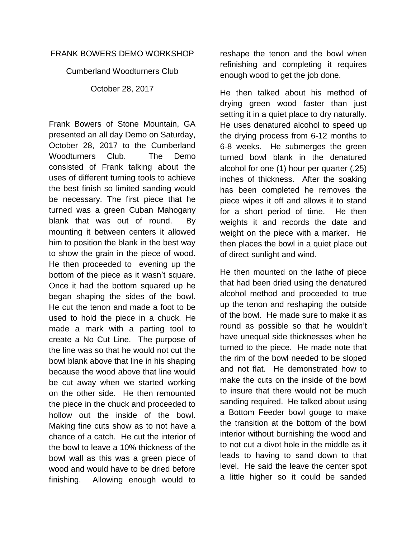## FRANK BOWERS DEMO WORKSHOP

Cumberland Woodturners Club

October 28, 2017

Frank Bowers of Stone Mountain, GA presented an all day Demo on Saturday, October 28, 2017 to the Cumberland Woodturners Club. The Demo consisted of Frank talking about the uses of different turning tools to achieve the best finish so limited sanding would be necessary. The first piece that he turned was a green Cuban Mahogany blank that was out of round. By mounting it between centers it allowed him to position the blank in the best way to show the grain in the piece of wood. He then proceeded to evening up the bottom of the piece as it wasn't square. Once it had the bottom squared up he began shaping the sides of the bowl. He cut the tenon and made a foot to be used to hold the piece in a chuck. He made a mark with a parting tool to create a No Cut Line. The purpose of the line was so that he would not cut the bowl blank above that line in his shaping because the wood above that line would be cut away when we started working on the other side. He then remounted the piece in the chuck and proceeded to hollow out the inside of the bowl. Making fine cuts show as to not have a chance of a catch. He cut the interior of the bowl to leave a 10% thickness of the bowl wall as this was a green piece of wood and would have to be dried before finishing. Allowing enough would to

reshape the tenon and the bowl when refinishing and completing it requires enough wood to get the job done.

He then talked about his method of drying green wood faster than just setting it in a quiet place to dry naturally. He uses denatured alcohol to speed up the drying process from 6-12 months to 6-8 weeks. He submerges the green turned bowl blank in the denatured alcohol for one (1) hour per quarter (.25) inches of thickness. After the soaking has been completed he removes the piece wipes it off and allows it to stand for a short period of time. He then weights it and records the date and weight on the piece with a marker. He then places the bowl in a quiet place out of direct sunlight and wind.

He then mounted on the lathe of piece that had been dried using the denatured alcohol method and proceeded to true up the tenon and reshaping the outside of the bowl. He made sure to make it as round as possible so that he wouldn't have unequal side thicknesses when he turned to the piece. He made note that the rim of the bowl needed to be sloped and not flat. He demonstrated how to make the cuts on the inside of the bowl to insure that there would not be much sanding required. He talked about using a Bottom Feeder bowl gouge to make the transition at the bottom of the bowl interior without burnishing the wood and to not cut a divot hole in the middle as it leads to having to sand down to that level. He said the leave the center spot a little higher so it could be sanded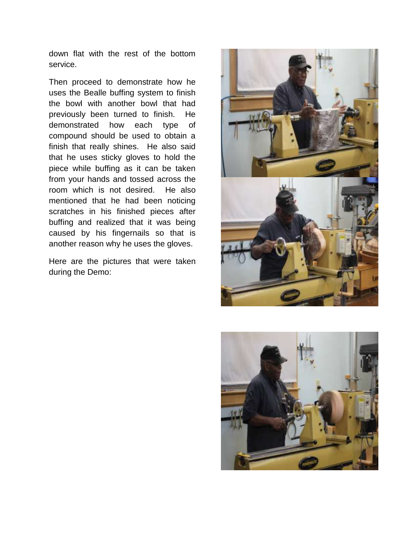down flat with the rest of the bottom service.

Then proceed to demonstrate how he uses the Bealle buffing system to finish the bowl with another bowl that had previously been turned to finish. He demonstrated how each type of compound should be used to obtain a finish that really shines. He also said that he uses sticky gloves to hold the piece while buffing as it can be taken from your hands and tossed across the room which is not desired. He also mentioned that he had been noticing scratches in his finished pieces after buffing and realized that it was being caused by his fingernails so that is another reason why he uses the gloves.

Here are the pictures that were taken during the Demo:



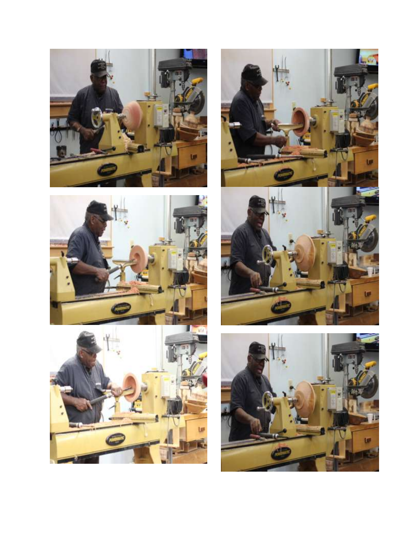







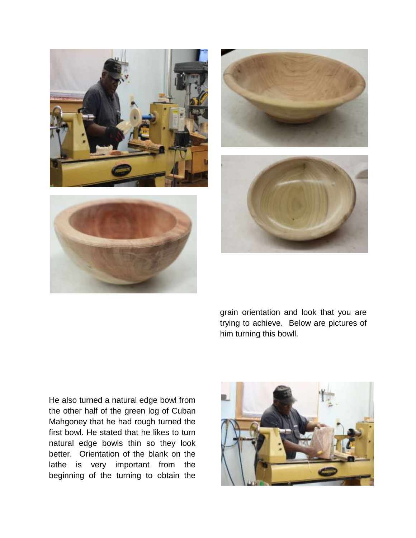







grain orientation and look that you are trying to achieve. Below are pictures of him turning this bowll.

He also turned a natural edge bowl from the other half of the green log of Cuban Mahgoney that he had rough turned the first bowl. He stated that he likes to turn natural edge bowls thin so they look better. Orientation of the blank on the lathe is very important from the beginning of the turning to obtain the